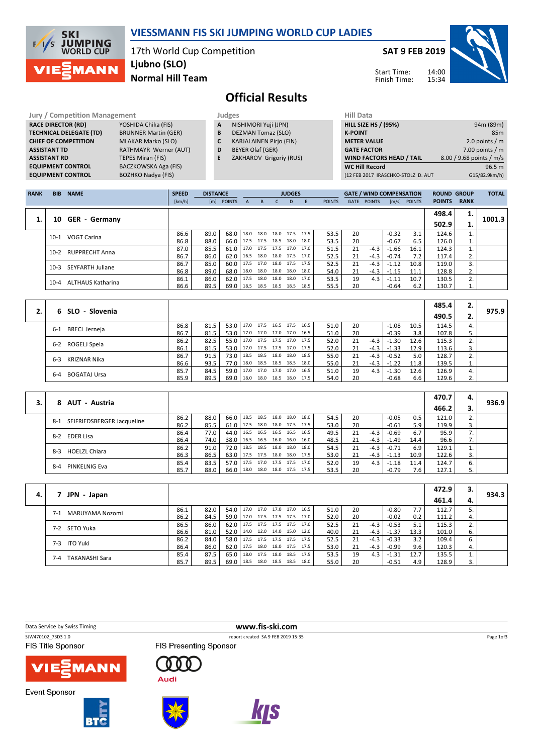

## VIESSMANN FIS SKI JUMPING WORLD CUP LADIES

17th World Cup Competition Normal Hill Team Ljubno (SLO)

SAT 9 FEB 2019

Start Time: Finish Time:



Official Results

| <b>Jury / Competition Management</b> |                             |   | Judges                         | <b>Hill Data</b>   |
|--------------------------------------|-----------------------------|---|--------------------------------|--------------------|
| <b>RACE DIRECTOR (RD)</b>            | YOSHIDA Chika (FIS)         | A | NISHIMORI Yuji (JPN)           | <b>HILL SIZE H</b> |
| <b>TECHNICAL DELEGATE (TD)</b>       | <b>BRUNNER Martin (GER)</b> | B | <b>DEZMAN Tomaz (SLO)</b>      | <b>K-POINT</b>     |
| <b>CHIEF OF COMPETITION</b>          | <b>MLAKAR Marko (SLO)</b>   |   | <b>KARJALAINEN Pirjo (FIN)</b> | <b>METER VA</b>    |
| <b>ASSISTANT TD</b>                  | RATHMAYR Werner (AUT)       | D | BEYER Olaf (GER)               | <b>GATE FACT</b>   |
| <b>ASSISTANT RD</b>                  | <b>TEPES Miran (FIS)</b>    |   | ZAKHAROV Grigoriy (RUS)        | <b>WIND FAC</b>    |
| <b>EQUIPMENT CONTROL</b>             | BACZKOWSKA Aga (FIS)        |   |                                | <b>WC Hill Re</b>  |
| <b>EQUIPMENT CONTROL</b>             | <b>BOZHKO Nadya (FIS)</b>   |   |                                | (12 FEB 201)       |

- A NISHIMORI Yuji (JPN)
- **B** DEZMAN Tomaz (SLO)<br>**C** KARJALAINEN Pirjo (FII
- KARJALAINEN Pirjo (FIN) D BEYER Olaf (GER)
- E ZAKHAROV Grigoriy (RUS)
	-

| Hill Data                          |                          |
|------------------------------------|--------------------------|
| <b>HILL SIZE HS / (95%)</b>        | 94m (89m)                |
| <b>K-POINT</b>                     | 85m                      |
| <b>METER VALUE</b>                 | 2.0 points $/m$          |
| <b>GATE FACTOR</b>                 | 7.00 points $/m$         |
| <b>WIND FACTORS HEAD / TAIL</b>    | 8.00 / 9.68 points / m/s |
| <b>WC Hill Record</b>              | 96.5 m                   |
| (12 FEB 2017 IRASCHKO-STOLZ D. AUT | G15/82.9km/h)            |
|                                    |                          |

| <b>RANK</b> | <b>BIB</b> | <b>NAME</b>              | <b>SPEED</b> | <b>DISTANCE</b> |               |      |           |           | <b>JUDGES</b> |      |               |             | <b>GATE / WIND COMPENSATION</b> |         |               | <b>ROUND GROUP</b> |             | <b>TOTAL</b> |
|-------------|------------|--------------------------|--------------|-----------------|---------------|------|-----------|-----------|---------------|------|---------------|-------------|---------------------------------|---------|---------------|--------------------|-------------|--------------|
|             |            |                          | [km/h]       | [m]             | <b>POINTS</b> | A    | B.        |           | D             | F    | <b>POINTS</b> | <b>GATE</b> | <b>POINTS</b>                   | [m/s]   | <b>POINTS</b> | <b>POINTS</b>      | <b>RANK</b> |              |
|             |            |                          |              |                 |               |      |           |           |               |      |               |             |                                 |         |               | 498.4              | 1.          |              |
|             | 10         | <b>GER</b> - Germany     |              |                 |               |      |           |           |               |      |               |             |                                 |         |               | 502.9              | 1.          | 1001.3       |
|             | $10-1$     | <b>VOGT Carina</b>       | 86.6         | 89.0            | 68.0          | 18.0 | 18.0      | 18.0      | 17.5          | 17.5 | 53.5          | 20          |                                 | $-0.32$ | 3.1           | 124.6              |             |              |
|             |            |                          | 86.8         | 88.0            | 66.0          | 17.5 | 17.5      | 18.5      | 18.0          | 18.0 | 53.5          | 20          |                                 | $-0.67$ | 6.5           | 126.0              | 1.          |              |
|             | $10-2$     | <b>RUPPRECHT Anna</b>    | 87.0         | 85.5            | 61.0          |      | 17.0 17.5 | 17.5      | 17.0          | 17.0 | 51.5          | 21          | $-4.3$                          | $-1.66$ | 16.1          | 124.3              |             |              |
|             |            |                          | 86.7         | 86.0            | 62.0          | 16.5 | 18.0      | 18.0 17.5 |               | 17.0 | 52.5          | 21          | $-4.3$                          | $-0.74$ | 7.2           | 117.4              |             |              |
|             | $10-3$     | SEYFARTH Juliane         | 86.7         | 85.0            | 60.0          | 17.5 | 17.0      | 18.0      | 17.5          | 17.5 | 52.5          | 21          | $-4.3$                          | $-1.12$ | 10.8          | 119.0              | 3.          |              |
|             |            |                          | 86.8         | 89.0            | 68.0          | 18.0 | 18.0      | 18.0      | 18.0          | 18.0 | 54.0          | 21          | $-4.3$                          | $-1.15$ | 11.1          | 128.8              | 2.          |              |
|             | $10-4$     | <b>ALTHAUS Katharina</b> | 86.1         | 86.0            | 62.0          | 17.5 | 18.0      | 18.0      | 18.0          | 17.0 | 53.5          | 19          | 4.3                             | $-1.11$ | 10.7          | 130.5              | 2.          |              |
|             |            |                          | 86.6         | 89.5            | 69.0          | 18.5 | 18.5      | 18.5      | 18.5          | 18.5 | 55.5          | 20          |                                 | $-0.64$ | 6.2           | 130.7              | T.          |              |

|                             |      |      |               |                                 |  |                     |      |      |    |        |         |      | 485.4 | 2. |       |
|-----------------------------|------|------|---------------|---------------------------------|--|---------------------|------|------|----|--------|---------|------|-------|----|-------|
| 6 SLO - Slovenia            |      |      |               |                                 |  |                     |      |      |    |        |         |      | 490.5 | 2. | 975.9 |
|                             | 86.8 | 81.5 |               | $53.0$   17.0 17.5              |  | 16.5 17.5           | 16.5 | 51.0 | 20 |        | $-1.08$ | 10.5 | 114.5 | 4. |       |
| <b>BRECL Jerneja</b><br>6-1 | 86.7 | 81.5 |               | 53.0 17.0 17.0 17.0 17.0        |  |                     | 16.5 | 51.0 | 20 |        | $-0.39$ | 3.8  | 107.8 |    |       |
|                             | 86.2 | 82.5 |               | 55.0   17.0 17.5 17.5 17.0 17.5 |  |                     |      | 52.0 | 21 | $-4.3$ | $-1.30$ | 12.6 | 115.3 |    |       |
| 6-2 ROGELJ Spela            | 86.1 | 81.5 |               | 53.0   17.0 17.5 17.5 17.0      |  |                     | 17.5 | 52.0 | 21 | -4.3 I | $-1.33$ | 12.9 | 113.6 | 3. |       |
| KRIZNAR Nika<br>$6 - 3$     | 86.7 | 91.5 | 73.0   18.5   |                                 |  | 18.5 18.0 18.0      | 18.5 | 55.0 | 21 | $-4.3$ | $-0.52$ | 5.0  | 128.7 |    |       |
|                             | 86.6 | 93.5 | 77.0 l        | 18.0                            |  | 18.5 18.5 18.5      | 18.0 | 55.0 | 21 | -4.3   | $-1.22$ | 11.8 | 139.5 | 1. |       |
|                             | 85.7 | 84.5 | $59.0$   17.0 |                                 |  | 17.0 17.0 17.0      | 16.5 | 51.0 | 19 | 4.3    | $-1.30$ | 12.6 | 126.9 | 4. |       |
| BOGATAJ Ursa<br>6-4         | 85.9 | 89.5 | $69.0$   18.0 |                                 |  | 18.0 18.5 18.0 17.5 |      | 54.0 | 20 |        | $-0.68$ | 6.6  | 129.6 | 2. |       |

|    |                                       |      |      |      |      |                |                |                     |      |      |    |        |         |      | 470.7 | 4. |       |
|----|---------------------------------------|------|------|------|------|----------------|----------------|---------------------|------|------|----|--------|---------|------|-------|----|-------|
| 3. | AUT - Austria<br>8.                   |      |      |      |      |                |                |                     |      |      |    |        |         |      | 466.2 |    | 936.9 |
|    | SEIFRIEDSBERGER Jacqueline<br>$8 - 1$ | 86.2 | 88.0 | 66.0 | 18.5 |                |                | 18.5 18.0 18.0      | 18.0 | 54.5 | 20 |        | $-0.05$ | 0.5  | 121.0 | 2. |       |
|    |                                       | 86.2 | 85.5 | 61.0 | 17.5 |                | 18.0 18.0 17.5 |                     | 17.5 | 53.0 | 20 |        | $-0.61$ | 5.9  | 119.9 | 3. |       |
|    | 8-2 EDER Lisa                         | 86.4 | 77.0 | 44.0 | 16.5 | 16.5 16.5 16.5 |                |                     | 16.5 | 49.5 | 21 | $-4.3$ | $-0.69$ | 6.7  | 95.9  | 7. |       |
|    |                                       | 86.4 | 74.0 | 38.0 | 16.5 |                |                | 16.5 16.0 16.0      | 16.0 | 48.5 | 21 | -4.3   | $-1.49$ | 14.4 | 96.6  | 7. |       |
|    | <b>HOELZL Chiara</b>                  | 86.2 | 91.0 | 72.0 | 18.5 | 18.5           | 18.0           | 18.0                | 18.0 | 54.5 | 21 | $-4.3$ | $-0.71$ | 6.9  | 129.1 | 1. |       |
|    | $8-3$                                 | 86.3 | 86.5 | 63.0 |      |                |                | 17.5 17.5 18.0 18.0 | 17.5 | 53.0 | 21 | -4.3   | $-1.13$ | 10.9 | 122.6 | 3. |       |
|    |                                       | 85.4 | 83.5 | 57.0 | 17.5 | 17.0           | 17.5 17.5      |                     | 17.0 | 52.0 | 19 | 4.3    | $-1.18$ | 11.4 | 124.7 | 6. |       |
|    | PINKELNIG Eva<br>$8 - 4$              | 85.7 | 88.0 | 66.0 | 18.0 |                |                | 18.0 18.0 17.5      | 17.5 | 53.5 | 20 |        | $-0.79$ | 7.6  | 127.1 |    |       |

|    |                                |      |      |      |                          |                |                     |      |      |     |        |         |      | 472.9 | З.  |       |
|----|--------------------------------|------|------|------|--------------------------|----------------|---------------------|------|------|-----|--------|---------|------|-------|-----|-------|
| 4. | JPN - Japan                    |      |      |      |                          |                |                     |      |      |     |        |         |      | 461.4 | -4. | 934.3 |
|    | MARUYAMA Nozomi<br>$7 - 1$     | 86.1 | 82.0 | 54.0 | 17.0                     | 17.0 17.0 17.0 |                     | 16.5 | 51.0 | 20  |        | $-0.80$ | 7.7  | 112.7 |     |       |
|    |                                | 86.2 | 84.5 | 59.0 | 17.0 17.5 17.5 17.5 17.0 |                |                     |      | 52.0 | 20  |        | $-0.02$ | 0.2  | 111.2 | 4.  |       |
|    | 7-2 SETO Yuka                  | 86.5 | 86.0 | 62.0 | 17.5 17.5 17.5 17.5      |                |                     | 17.0 | 52.5 | 21  | $-4.3$ | $-0.53$ | 5.1  | 115.3 |     |       |
|    |                                | 86.6 | 81.0 | 52.0 | 14.0 12.0 14.0 15.0      |                |                     | 12.0 | 40.0 | 21  | $-4.3$ | $-1.37$ | 13.3 | 101.0 | 6.  |       |
|    | 7-3 ITO Yuki                   | 86.2 | 84.0 | 58.0 | 17.5 17.5 17.5 17.5 17.5 |                |                     |      | 52.5 | 21. | $-4.3$ | $-0.33$ | 3.2  | 109.4 | 6.  |       |
|    |                                | 86.4 | 86.0 | 62.0 | 17.5                     |                | 18.0 18.0 17.5 17.5 |      | 53.0 | 21  | $-4.3$ | -0.99   | 9.6  | 120.3 | 4.  |       |
|    | <b>TAKANASHI Sara</b><br>$7-4$ | 85.4 | 87.5 | 65.0 | 18.0                     |                | 17.5 18.0 18.5 17.5 |      | 53.5 | 19  | 4.3    | $-1.31$ | 12.7 | 135.5 |     |       |
|    |                                | 85.7 | 89.5 | 69.0 | 18.5 18.0 18.5 18.5 18.0 |                |                     |      | 55.0 | 20  |        | $-0.51$ | 4.9  | 128.9 | 3.  |       |

**FIS Title Sponsor** 

Data Service by Swiss Timing **www.fis-ski.com**<br>
SW470102\_73D3 1.0 **www.fis-ski.com** report created SA 9 FEB 2019 15:35

FIS Presenting Sponsor



**Event Sponsor** 





000

**Audi** 





Page 1of3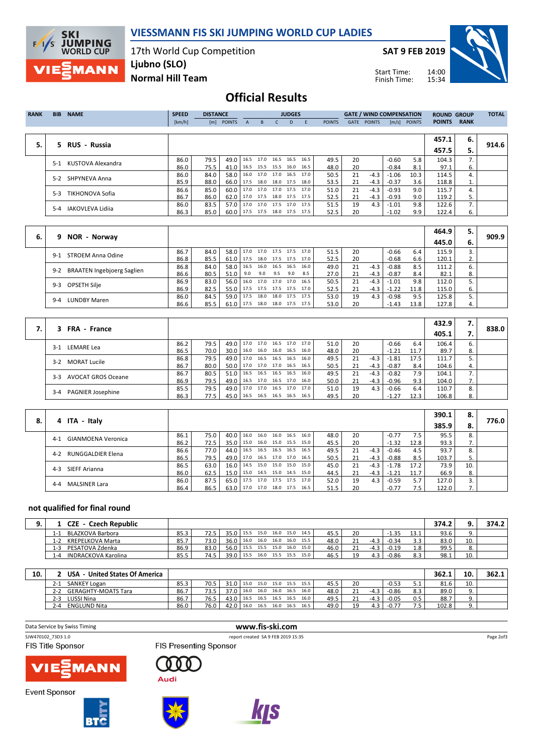

**SKI JUMPING**<br>WORLD CUP  $F/I/S$ **MANN** 

17th World Cup Competition Normal Hill Team Ljubno (SLO)

SAT 9 FEB 2019



Start Time: Finish Time:

## Official Results

| <b>RANK</b> | <b>BIB</b> | <b>NAME</b>             | <b>SPEED</b> | <b>DISTANCE</b> |               |   |                     | <b>JUDGES</b> |                          |               |             |               | <b>GATE / WIND COMPENSATION</b> |               | <b>ROUND GROUP</b> |              | <b>TOTAL</b> |
|-------------|------------|-------------------------|--------------|-----------------|---------------|---|---------------------|---------------|--------------------------|---------------|-------------|---------------|---------------------------------|---------------|--------------------|--------------|--------------|
|             |            |                         | [km/h]       | [m]             | <b>POINTS</b> | A | B.                  | D             |                          | <b>POINTS</b> | <b>GATE</b> | <b>POINTS</b> | $\lceil m/s \rceil$             | <b>POINTS</b> | <b>POINTS</b>      | <b>RANK</b>  |              |
|             |            |                         |              |                 |               |   |                     |               |                          |               |             |               |                                 |               |                    |              |              |
|             |            |                         |              |                 |               |   |                     |               |                          |               |             |               |                                 |               | 457.1              | 6.           |              |
| 5.          |            | 5 RUS - Russia          |              |                 |               |   |                     |               |                          |               |             |               |                                 |               | 457.5              | 5.           | 914.6        |
|             | $5-1$      | KUSTOVA Alexandra       | 86.0         | 79.5            | 49.0          |   | 16.5 17.0           |               | $16.5$ 16.5 16.5         | 49.5          | 20          |               | $-0.60$                         | 5.8           | 104.3              | 7.           |              |
|             |            |                         | 86.0         | 75.5            | 41.0          |   |                     |               | 16.5 15.5 15.5 16.0 16.5 | 48.0          | 20          |               | $-0.84$                         | 8.1           | 97.1               | 6.           |              |
|             | $5-2$      | SHPYNEVA Anna           | 86.0         | 84.0            | 58.0          |   | 16.0 17.0 17.0 16.5 |               | 17.0                     | 50.5          | 21          | $-4.3$        | $-1.06$                         | 10.3          | 114.5              | $\mathbf{4}$ |              |
|             |            |                         | 85.9         | 88.0            | 66.0          |   |                     |               | 17.5 18.0 18.0 17.5 18.0 | 53.5          | 21          | $-4.3$        | $-0.37$                         | 3.6           | 118.8              | ī.           |              |
|             |            | <b>TIKHONOVA Sofia</b>  | 86.6         | 85.0            | 60.0          |   | 17.0 17.0 17.0 17.5 |               | 17.0                     | 51.0          | 21          | $-4.3$        | $-0.93$                         | 9.0           | 115.7              | 4.           |              |
|             | $5-3$      |                         | 86.7         | 86.0            | 62.0          |   |                     |               | 17.0 17.5 18.0 17.5 17.5 | 52.5          | 21          | $-4.3$        | $-0.93$                         | 9.0           | 119.2              | 5.           |              |
|             | $5 - 4$    | <b>IAKOVLEVA Lidija</b> | 86.0         | 83.5            | 57.0          |   |                     |               | 17.0 17.0 17.5 17.0 17.5 | 51.5          | 19          | 4.3           | $-1.01$                         | 9.8           | 122.6              | 7.           |              |
|             |            |                         | 86.3         | 85.0            | 60.0          |   |                     |               | 17.5 17.5 18.0 17.5 17.5 | 52.5          | 20          |               | $-1.02$                         | 9.9           | 122.4              | 6.           |              |

|    |                                              |      |      |               |                                 |      |         |                |      |      |    |        |         |      | 464.9 | 5. |       |
|----|----------------------------------------------|------|------|---------------|---------------------------------|------|---------|----------------|------|------|----|--------|---------|------|-------|----|-------|
| 6. | 9 NOR - Norway                               |      |      |               |                                 |      |         |                |      |      |    |        |         |      | 445.0 | 6. | 909.9 |
|    | STROEM Anna Odine<br>$9-1$                   | 86.7 | 84.0 | 58.0   17.0   |                                 | 17.0 |         | 17.5 17.5      | 17.0 | 51.5 | 20 |        | $-0.66$ | 6.4  | 115.9 |    |       |
|    |                                              | 86.8 | 85.5 |               | 61.0   17.5 18.0 17.5 17.5 17.0 |      |         |                |      | 52.5 | 20 |        | $-0.68$ | 6.6  | 120.1 | ۷. |       |
|    |                                              | 86.8 | 84.0 |               | 58.0   16.5 16.0 16.5 16.5      |      |         |                | 16.0 | 49.0 | 21 | $-4.3$ | $-0.88$ | 8.5  | 111.2 | 6. |       |
|    | <b>BRAATEN Ingebjoerg Saglien</b><br>$9 - 2$ | 86.6 | 80.5 | 51.0          | 9.0                             | 9.0  | 9.5 9.0 |                | 8.5  | 27.0 | 21 | $-4.3$ | $-0.87$ | 8.4  | 82.1  | 8. |       |
|    | OPSETH Silje<br>9-3                          | 86.9 | 83.0 | $56.0$   16.0 |                                 |      |         | 17.0 17.0 17.0 | 16.5 | 50.5 | 21 | $-4.3$ | $-1.01$ | 9.8  | 112.0 |    |       |
|    |                                              | 86.9 | 82.5 |               | 55.0   17.5 17.5 17.5 17.5 17.0 |      |         |                |      | 52.5 | 21 | $-4.3$ | $-1.22$ | 11.8 | 115.0 | 6. |       |
|    | <b>LUNDBY Maren</b><br>$9 - 4$               | 86.0 | 84.5 | $59.0$   17.5 |                                 | 18.0 |         | 18.0 17.5 17.5 |      | 53.0 | 19 | 4.3    | $-0.98$ | 9.5  | 125.8 |    |       |
|    |                                              | 86.6 | 85.5 |               | 61.0   17.5 18.0 18.0 17.5 17.5 |      |         |                |      | 53.0 | 20 |        | $-1.43$ | 13.8 | 127.8 |    |       |

| 3 FRA - France                      |      |      |               |                     |                |                     |      |      |    |         |         |      | 432.9 | 7. |       |
|-------------------------------------|------|------|---------------|---------------------|----------------|---------------------|------|------|----|---------|---------|------|-------|----|-------|
|                                     |      |      |               |                     |                |                     |      |      |    |         |         |      | 405.1 |    | 838.0 |
| LEMARE Lea<br>$3-1$                 | 86.2 | 79.5 | 49.0 17.0     |                     |                | 17.0 16.5 17.0      | 17.0 | 51.0 | 20 |         | $-0.66$ | 6.4  | 106.4 | 6. |       |
|                                     | 86.5 | 70.0 | $30.0$   16.0 |                     |                | 16.0 16.0 16.5      | 16.0 | 48.0 | 20 |         | $-1.21$ | 11.7 | 89.7  | 8. |       |
| 3-2 MORAT Lucile                    | 86.8 | 79.5 | 49.0          | 17.0                | 16.5 16.5 16.5 |                     | 16.0 | 49.5 | 21 | $-4.3$  | $-1.81$ | 17.5 | 111.7 |    |       |
|                                     | 86.7 | 80.0 | 50.0          | 17.0                |                | 17.0 17.0 16.5 16.5 |      | 50.5 |    | -4.3    | $-0.87$ | 8.4  | 104.6 | 4. |       |
| <b>AVOCAT GROS Oceane</b><br>$3-3$  | 86.7 | 80.5 | 51.0          | 16.5                | 16.5 16.5 16.5 |                     | 16.0 | 49.5 | 21 | $-4.3$  | $-0.82$ | 7.9  | 104.1 |    |       |
|                                     | 86.9 | 79.5 | 49.0          | 16.5 17.0 16.5 17.0 |                |                     | 16.0 | 50.0 | 21 | $-4.31$ | $-0.96$ | 9.3  | 104.0 |    |       |
|                                     | 85.5 | 79.5 | 49.0          | 17.0                |                | 17.0 16.5 17.0      | 17.0 | 51.0 | 19 | 4.3     | $-0.66$ | 6.4  | 110.7 | 8. |       |
| <b>PAGNIER Josephine</b><br>$3 - 4$ | 86.3 | 77.5 | 45.0          | 16.5 16.5 16.5 16.5 |                |                     | 16.5 | 49.5 | 20 |         | $-1.27$ | 12.3 | 106.8 | 8. |       |

|    |                                 |      |      |      |                     |                |           |                     |      |      |    |        |         |      | 390.1 | - 8. |       |
|----|---------------------------------|------|------|------|---------------------|----------------|-----------|---------------------|------|------|----|--------|---------|------|-------|------|-------|
| 8. | 4 ITA - Italy                   |      |      |      |                     |                |           |                     |      |      |    |        |         |      | 385.9 | 8.   | 776.0 |
|    | GIANMOENA Veronica<br>$4-1$     | 86.1 | 75.0 | 40.0 | 16.0                | 16.0           | 16.0 16.5 |                     | 16.0 | 48.0 | 20 |        | $-0.77$ | 7.5  | 95.5  |      |       |
|    |                                 | 86.2 | 72.5 | 35.0 |                     |                |           | 15.0 16.0 15.0 15.5 | 15.0 | 45.5 | 20 |        | $-1.32$ | 12.8 | 93.3  |      |       |
|    | RUNGGALDIER Elena<br>$4 - 2$    | 86.6 | 77.0 | 44.0 | 16.5                | 16.5           | 16.5 16.5 |                     | 16.5 | 49.5 | 21 | $-4.3$ | $-0.46$ | 4.5  | 93.7  |      |       |
|    |                                 | 86.5 | 79.5 | 49.0 | 17.0 16.5 17.0 17.0 |                |           |                     | 16.5 | 50.5 | 21 | $-4.3$ | $-0.88$ | 8.5  | 103.7 |      |       |
|    | SIEFF Arianna<br>$4 - 3$        | 86.5 | 63.0 | 16.0 | 14.5                | 15.0 15.0 15.0 |           |                     | 15.0 | 45.0 | 21 | $-4.3$ | $-1.78$ | 17.2 | 73.9  | 10   |       |
|    |                                 | 86.0 | 62.5 | 15.0 | 15.0                | 14.5 15.0 14.5 |           |                     | 15.0 | 44.5 | 21 | $-4.3$ | $-1.21$ | 11.7 | 66.9  |      |       |
|    | <b>MALSINER Lara</b><br>$4 - 4$ | 86.0 | 87.5 | 65.0 | 17.5                | 17.0 17.5 17.5 |           |                     | 17.0 | 52.0 | 19 | 4.3    | $-0.59$ | 5.7  | 127.0 |      |       |
|    |                                 | 86.4 | 86.5 | 63.0 | 17.0 17.0 18.0 17.5 |                |           |                     | 16.5 | 51.5 | 20 |        | $-0.77$ | 7.5  | 122.0 |      |       |

## not qualified for final round

| - Czech Republic<br>$^{\circ}$ ZE $^{\circ}$ |      |      |               |       |           |                |      |      |      |    |        |         |      | 374.2 |     | 374.2 |
|----------------------------------------------|------|------|---------------|-------|-----------|----------------|------|------|------|----|--------|---------|------|-------|-----|-------|
| BLAZKOVA Barbora                             | 85.3 | 72.5 | $35.0$   15.5 |       |           | 15.0 16.0 15.0 |      | 14.5 | 45.5 | 20 |        | $-1.35$ | 13.1 | 93.6  | 9.  |       |
| KREPELKOVA Marta<br>1-2                      | 85.7 | 73.0 | $36.0$ 16.0   |       |           | 16.0 16.0      | 16.0 | 15.5 | 48.0 | 21 | $-4.3$ | $-0.34$ |      | 83.0  | 10. |       |
| PESATOVA Zdenka<br>1-3                       | 86.9 | 83.0 | 56.0   15.5   |       | 15.5 15.0 |                | 16.0 | 15.0 | 46.0 | 21 | $-4.3$ | $-0.19$ | 1.8  | 99.5  | o.  |       |
| <b>INDRACKOVA Karolina</b><br>-4             | 85.5 | 74.5 | 39.0          | 115.5 | 16.0      | 15.5 15.5      |      | 15.0 | 46.5 | 1۵ | 4.3    | $-0.86$ | 8.3  | 98.1  | 10. |       |

| 10. | - United States Of America<br><b>USA</b> |      |      |                   |      |                |      |      |      |    |        |         |                | 362.1 | 10. | 362.1<br>11 |
|-----|------------------------------------------|------|------|-------------------|------|----------------|------|------|------|----|--------|---------|----------------|-------|-----|-------------|
|     | <b>SANKEY Logan</b><br>2-1               | 85.3 | 70.5 | 31.0 L            | 15.0 | 15.0 15.0 15.5 |      | 15.5 | 45.5 | 20 |        | $-0.53$ | <u>.</u>       | 81.6  | 10. |             |
|     | <b>GERAGHTY-MOATS Tara</b><br>$2 - 2$    | 86.7 | 73.5 | 37.0 l            | 16.0 | 16.0 16.0      | 16.5 | 16.0 | 48.0 |    | $-4.3$ | $-0.86$ | 8.3            | 89.0  |     |             |
|     | LUSSI Nina<br>$2 - 3$                    | 86.7 | 76.5 | 43.0 <sub>1</sub> | 16.5 | 16.5 16.5      | 16.5 | 16.0 | 49.5 |    | $-4.3$ | $-0.05$ | 0.5            | 88.7  |     |             |
|     | <b>ENGLUND Nita</b><br>7-4               | 86.0 | 76.0 | 42.0              | 16.0 | 16.5 16.0      | 16.5 | 16.5 | 49.0 | 10 | 4.3    | $-0.77$ | - -<br>$\cdot$ | 102.8 |     |             |

Data Service by Swiss Timing **www.fis-ski.com**<br>
SW470102\_73D3 1.0<br>
Figure 2019 15: report created SA 9 FEB 2019 15:35







**Event Sponsor** 





**Audi** 

000



Page 2of3